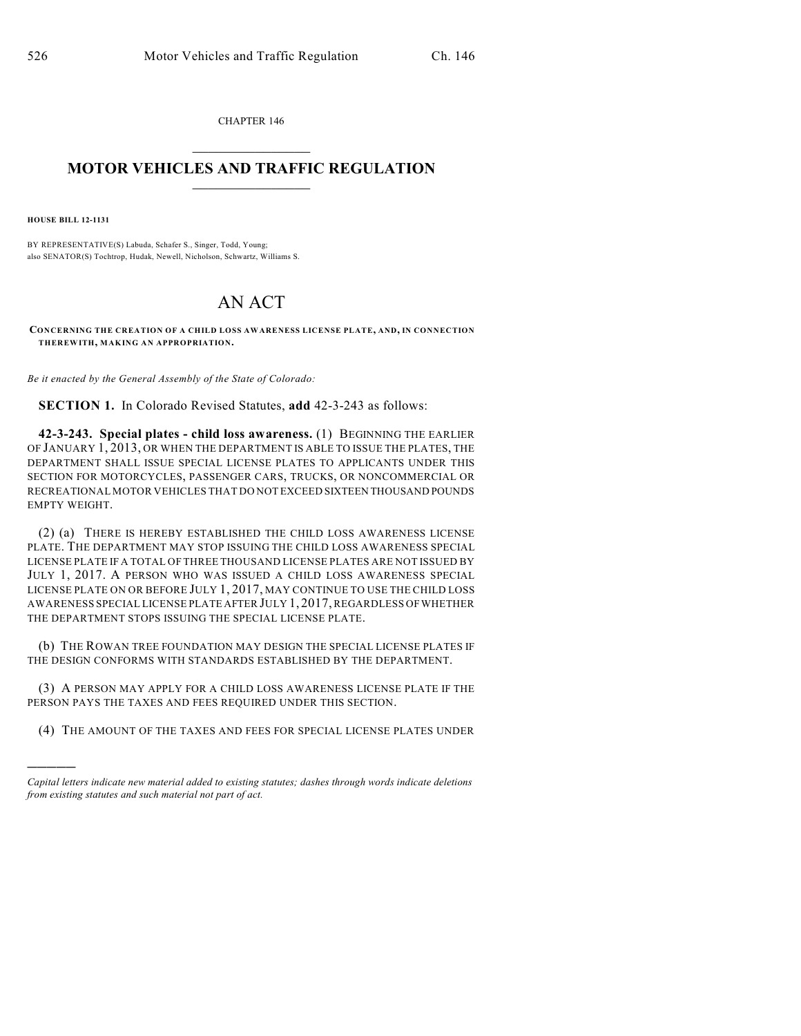CHAPTER 146  $\mathcal{L}_\text{max}$  . The set of the set of the set of the set of the set of the set of the set of the set of the set of the set of the set of the set of the set of the set of the set of the set of the set of the set of the set

## **MOTOR VEHICLES AND TRAFFIC REGULATION**  $\frac{1}{2}$  ,  $\frac{1}{2}$  ,  $\frac{1}{2}$  ,  $\frac{1}{2}$  ,  $\frac{1}{2}$  ,  $\frac{1}{2}$  ,  $\frac{1}{2}$

**HOUSE BILL 12-1131**

)))))

BY REPRESENTATIVE(S) Labuda, Schafer S., Singer, Todd, Young; also SENATOR(S) Tochtrop, Hudak, Newell, Nicholson, Schwartz, Williams S.

## AN ACT

**CONCERNING THE CREATION OF A CHILD LOSS AWARENESS LICENSE PLATE, AND, IN CONNECTION THEREWITH, MAKING AN APPROPRIATION.**

*Be it enacted by the General Assembly of the State of Colorado:*

**SECTION 1.** In Colorado Revised Statutes, **add** 42-3-243 as follows:

**42-3-243. Special plates - child loss awareness.** (1) BEGINNING THE EARLIER OF JANUARY 1, 2013, OR WHEN THE DEPARTMENT IS ABLE TO ISSUE THE PLATES, THE DEPARTMENT SHALL ISSUE SPECIAL LICENSE PLATES TO APPLICANTS UNDER THIS SECTION FOR MOTORCYCLES, PASSENGER CARS, TRUCKS, OR NONCOMMERCIAL OR RECREATIONAL MOTOR VEHICLES THAT DO NOT EXCEED SIXTEEN THOUSAND POUNDS EMPTY WEIGHT.

(2) (a) THERE IS HEREBY ESTABLISHED THE CHILD LOSS AWARENESS LICENSE PLATE. THE DEPARTMENT MAY STOP ISSUING THE CHILD LOSS AWARENESS SPECIAL LICENSE PLATE IF A TOTAL OF THREE THOUSAND LICENSE PLATES ARE NOT ISSUED BY JULY 1, 2017. A PERSON WHO WAS ISSUED A CHILD LOSS AWARENESS SPECIAL LICENSE PLATE ON OR BEFORE JULY 1, 2017, MAY CONTINUE TO USE THE CHILD LOSS AWARENESS SPECIAL LICENSE PLATE AFTER JULY 1, 2017, REGARDLESS OF WHETHER THE DEPARTMENT STOPS ISSUING THE SPECIAL LICENSE PLATE.

(b) THE ROWAN TREE FOUNDATION MAY DESIGN THE SPECIAL LICENSE PLATES IF THE DESIGN CONFORMS WITH STANDARDS ESTABLISHED BY THE DEPARTMENT.

(3) A PERSON MAY APPLY FOR A CHILD LOSS AWARENESS LICENSE PLATE IF THE PERSON PAYS THE TAXES AND FEES REQUIRED UNDER THIS SECTION.

(4) THE AMOUNT OF THE TAXES AND FEES FOR SPECIAL LICENSE PLATES UNDER

*Capital letters indicate new material added to existing statutes; dashes through words indicate deletions from existing statutes and such material not part of act.*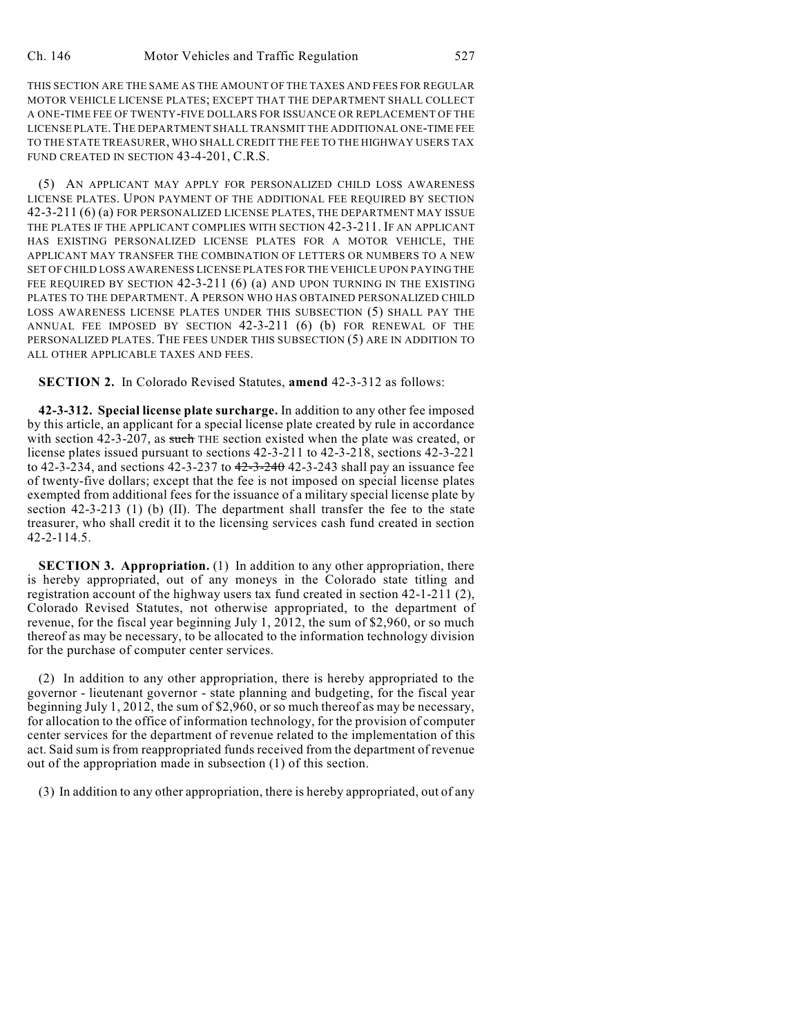THIS SECTION ARE THE SAME AS THE AMOUNT OF THE TAXES AND FEES FOR REGULAR MOTOR VEHICLE LICENSE PLATES; EXCEPT THAT THE DEPARTMENT SHALL COLLECT A ONE-TIME FEE OF TWENTY-FIVE DOLLARS FOR ISSUANCE OR REPLACEMENT OF THE LICENSE PLATE.THE DEPARTMENT SHALL TRANSMIT THE ADDITIONAL ONE-TIME FEE TO THE STATE TREASURER, WHO SHALL CREDIT THE FEE TO THE HIGHWAY USERS TAX FUND CREATED IN SECTION 43-4-201, C.R.S.

(5) AN APPLICANT MAY APPLY FOR PERSONALIZED CHILD LOSS AWARENESS LICENSE PLATES. UPON PAYMENT OF THE ADDITIONAL FEE REQUIRED BY SECTION 42-3-211 (6) (a) FOR PERSONALIZED LICENSE PLATES, THE DEPARTMENT MAY ISSUE THE PLATES IF THE APPLICANT COMPLIES WITH SECTION 42-3-211. IF AN APPLICANT HAS EXISTING PERSONALIZED LICENSE PLATES FOR A MOTOR VEHICLE, THE APPLICANT MAY TRANSFER THE COMBINATION OF LETTERS OR NUMBERS TO A NEW SET OF CHILD LOSS AWARENESS LICENSE PLATES FOR THE VEHICLE UPON PAYING THE FEE REQUIRED BY SECTION 42-3-211 (6) (a) AND UPON TURNING IN THE EXISTING PLATES TO THE DEPARTMENT. A PERSON WHO HAS OBTAINED PERSONALIZED CHILD LOSS AWARENESS LICENSE PLATES UNDER THIS SUBSECTION (5) SHALL PAY THE ANNUAL FEE IMPOSED BY SECTION 42-3-211 (6) (b) FOR RENEWAL OF THE PERSONALIZED PLATES. THE FEES UNDER THIS SUBSECTION (5) ARE IN ADDITION TO ALL OTHER APPLICABLE TAXES AND FEES.

**SECTION 2.** In Colorado Revised Statutes, **amend** 42-3-312 as follows:

**42-3-312. Special license plate surcharge.** In addition to any other fee imposed by this article, an applicant for a special license plate created by rule in accordance with section 42-3-207, as such THE section existed when the plate was created, or license plates issued pursuant to sections 42-3-211 to 42-3-218, sections 42-3-221 to 42-3-234, and sections 42-3-237 to  $42-3-240$  42-3-243 shall pay an issuance fee of twenty-five dollars; except that the fee is not imposed on special license plates exempted from additional fees for the issuance of a military special license plate by section 42-3-213 (1) (b) (II). The department shall transfer the fee to the state treasurer, who shall credit it to the licensing services cash fund created in section 42-2-114.5.

**SECTION 3. Appropriation.** (1) In addition to any other appropriation, there is hereby appropriated, out of any moneys in the Colorado state titling and registration account of the highway users tax fund created in section 42-1-211 (2), Colorado Revised Statutes, not otherwise appropriated, to the department of revenue, for the fiscal year beginning July 1, 2012, the sum of \$2,960, or so much thereof as may be necessary, to be allocated to the information technology division for the purchase of computer center services.

(2) In addition to any other appropriation, there is hereby appropriated to the governor - lieutenant governor - state planning and budgeting, for the fiscal year beginning July 1, 2012, the sum of \$2,960, or so much thereof as may be necessary, for allocation to the office of information technology, for the provision of computer center services for the department of revenue related to the implementation of this act. Said sum is from reappropriated funds received from the department of revenue out of the appropriation made in subsection (1) of this section.

(3) In addition to any other appropriation, there is hereby appropriated, out of any